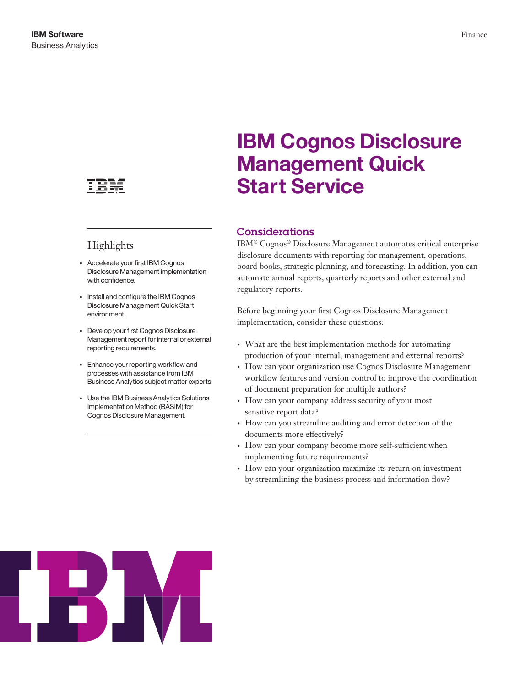

## Highlights

- • Accelerate your first IBM Cognos Disclosure Management implementation with confidence.
- Install and configure the IBM Cognos Disclosure Management Quick Start environment.
- • Develop your first Cognos Disclosure Management report for internal or external reporting requirements.
- Enhance your reporting workflow and processes with assistance from IBM Business Analytics subject matter experts
- Use the IBM Business Analytics Solutions Implementation Method (BASIM) for Cognos Disclosure Management.

# **IBM Cognos Disclosure Management Quick Start Service**

## Considerations

IBM® Cognos® Disclosure Management automates critical enterprise disclosure documents with reporting for management, operations, board books, strategic planning, and forecasting. In addition, you can automate annual reports, quarterly reports and other external and regulatory reports.

Before beginning your first Cognos Disclosure Management implementation, consider these questions:

- • What are the best implementation methods for automating production of your internal, management and external reports?
- How can your organization use Cognos Disclosure Management workflow features and version control to improve the coordination of document preparation for multiple authors?
- How can your company address security of your most sensitive report data?
- How can you streamline auditing and error detection of the documents more effectively?
- How can your company become more self-sufficient when implementing future requirements?
- How can your organization maximize its return on investment by streamlining the business process and information flow?

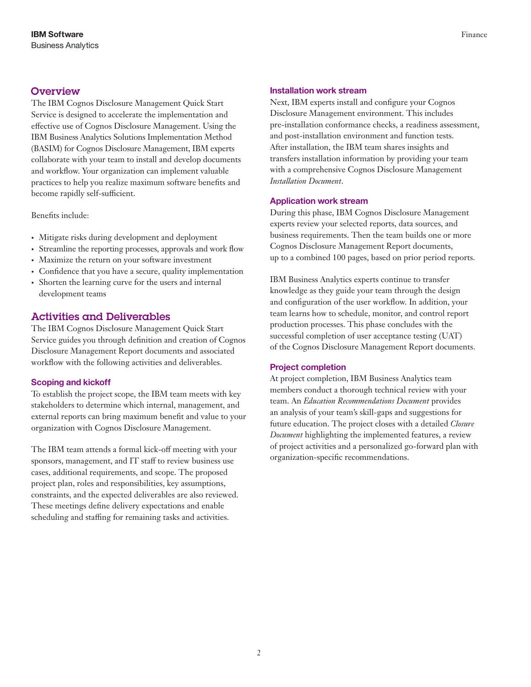## **Overview**

The IBM Cognos Disclosure Management Quick Start Service is designed to accelerate the implementation and effective use of Cognos Disclosure Management. Using the IBM Business Analytics Solutions Implementation Method (BASIM) for Cognos Disclosure Management, IBM experts collaborate with your team to install and develop documents and workflow. Your organization can implement valuable practices to help you realize maximum software benefits and become rapidly self-sufficient.

Benefits include:

- • Mitigate risks during development and deployment
- Streamline the reporting processes, approvals and work flow
- Maximize the return on your software investment
- • Confidence that you have a secure, quality implementation
- Shorten the learning curve for the users and internal development teams

## Activities and Deliverables

The IBM Cognos Disclosure Management Quick Start Service guides you through definition and creation of Cognos Disclosure Management Report documents and associated workflow with the following activities and deliverables.

#### **Scoping and kickoff**

To establish the project scope, the IBM team meets with key stakeholders to determine which internal, management, and external reports can bring maximum benefit and value to your organization with Cognos Disclosure Management.

The IBM team attends a formal kick-off meeting with your sponsors, management, and IT staff to review business use cases, additional requirements, and scope. The proposed project plan, roles and responsibilities, key assumptions, constraints, and the expected deliverables are also reviewed. These meetings define delivery expectations and enable scheduling and staffing for remaining tasks and activities.

#### **Installation work stream**

Next, IBM experts install and configure your Cognos Disclosure Management environment. This includes pre-installation conformance checks, a readiness assessment, and post-installation environment and function tests. After installation, the IBM team shares insights and transfers installation information by providing your team with a comprehensive Cognos Disclosure Management *Installation Document*.

#### **Application work stream**

During this phase, IBM Cognos Disclosure Management experts review your selected reports, data sources, and business requirements. Then the team builds one or more Cognos Disclosure Management Report documents, up to a combined 100 pages, based on prior period reports.

IBM Business Analytics experts continue to transfer knowledge as they guide your team through the design and configuration of the user workflow. In addition, your team learns how to schedule, monitor, and control report production processes. This phase concludes with the successful completion of user acceptance testing (UAT) of the Cognos Disclosure Management Report documents.

#### **Project completion**

At project completion, IBM Business Analytics team members conduct a thorough technical review with your team. An *Education Recommendations Document* provides an analysis of your team's skill-gaps and suggestions for future education. The project closes with a detailed *Closure Document* highlighting the implemented features, a review of project activities and a personalized go-forward plan with organization-specific recommendations.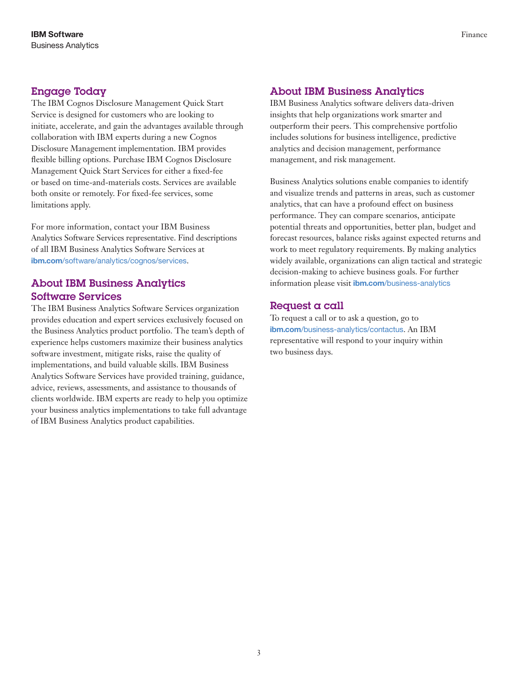## Engage Today

The IBM Cognos Disclosure Management Quick Start Service is designed for customers who are looking to initiate, accelerate, and gain the advantages available through collaboration with IBM experts during a new Cognos Disclosure Management implementation. IBM provides flexible billing options. Purchase IBM Cognos Disclosure Management Quick Start Services for either a fixed-fee or based on time-and-materials costs. Services are available both onsite or remotely. For fixed-fee services, some limitations apply.

For more information, contact your IBM Business Analytics Software Services representative. Find descriptions of all IBM Business Analytics Software Services at **ibm.com**[/software/analytics/cognos/services](http://www.ibm.com/software/analytics/cognos/services).

## About IBM Business Analytics Software Services

The IBM Business Analytics Software Services organization provides education and expert services exclusively focused on the Business Analytics product portfolio. The team's depth of experience helps customers maximize their business analytics software investment, mitigate risks, raise the quality of implementations, and build valuable skills. IBM Business Analytics Software Services have provided training, guidance, advice, reviews, assessments, and assistance to thousands of clients worldwide. IBM experts are ready to help you optimize your business analytics implementations to take full advantage of IBM Business Analytics product capabilities.

### About IBM Business Analytics

IBM Business Analytics software delivers data-driven insights that help organizations work smarter and outperform their peers. This comprehensive portfolio includes solutions for business intelligence, predictive analytics and decision management, performance management, and risk management.

Business Analytics solutions enable companies to identify and visualize trends and patterns in areas, such as customer analytics, that can have a profound effect on business performance. They can compare scenarios, anticipate potential threats and opportunities, better plan, budget and forecast resources, balance risks against expected returns and work to meet regulatory requirements. By making analytics widely available, organizations can align tactical and strategic decision-making to achieve business goals. For further information please visit **ibm.com**[/business-analytics](http://www.ibm.com/business-analytics)

## Request a call

To request a call or to ask a question, go to **ibm.com**[/business-analytics/contactus](http://www.ibm.com/business-analytics/contactus). An IBM representative will respond to your inquiry within two business days.